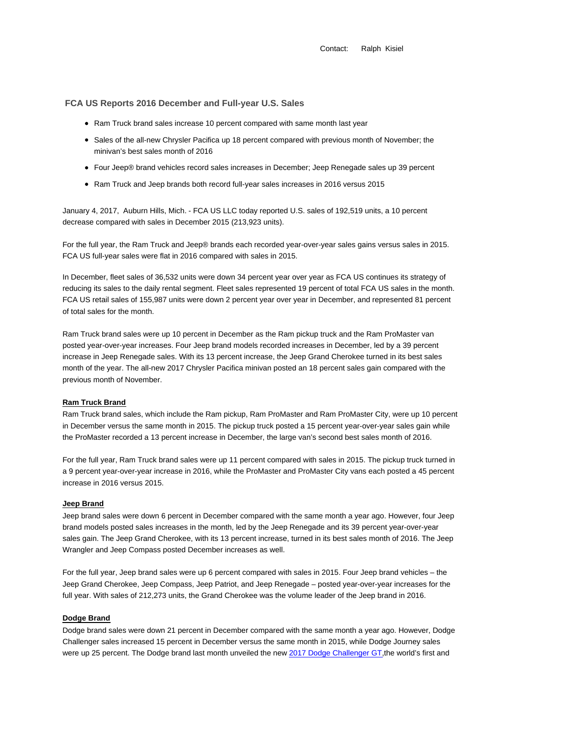Contact: Ralph Kisiel

# **FCA US Reports 2016 December and Full-year U.S. Sales**

- Ram Truck brand sales increase 10 percent compared with same month last year
- Sales of the all-new Chrysler Pacifica up 18 percent compared with previous month of November; the minivan's best sales month of 2016
- Four Jeep® brand vehicles record sales increases in December; Jeep Renegade sales up 39 percent
- Ram Truck and Jeep brands both record full-year sales increases in 2016 versus 2015

January 4, 2017, Auburn Hills, Mich. - FCA US LLC today reported U.S. sales of 192,519 units, a 10 percent decrease compared with sales in December 2015 (213,923 units).

For the full year, the Ram Truck and Jeep® brands each recorded year-over-year sales gains versus sales in 2015. FCA US full-year sales were flat in 2016 compared with sales in 2015.

In December, fleet sales of 36,532 units were down 34 percent year over year as FCA US continues its strategy of reducing its sales to the daily rental segment. Fleet sales represented 19 percent of total FCA US sales in the month. FCA US retail sales of 155,987 units were down 2 percent year over year in December, and represented 81 percent of total sales for the month.

Ram Truck brand sales were up 10 percent in December as the Ram pickup truck and the Ram ProMaster van posted year-over-year increases. Four Jeep brand models recorded increases in December, led by a 39 percent increase in Jeep Renegade sales. With its 13 percent increase, the Jeep Grand Cherokee turned in its best sales month of the year. The all-new 2017 Chrysler Pacifica minivan posted an 18 percent sales gain compared with the previous month of November.

#### **Ram Truck Brand**

Ram Truck brand sales, which include the Ram pickup, Ram ProMaster and Ram ProMaster City, were up 10 percent in December versus the same month in 2015. The pickup truck posted a 15 percent year-over-year sales gain while the ProMaster recorded a 13 percent increase in December, the large van's second best sales month of 2016.

For the full year, Ram Truck brand sales were up 11 percent compared with sales in 2015. The pickup truck turned in a 9 percent year-over-year increase in 2016, while the ProMaster and ProMaster City vans each posted a 45 percent increase in 2016 versus 2015.

## **Jeep Brand**

Jeep brand sales were down 6 percent in December compared with the same month a year ago. However, four Jeep brand models posted sales increases in the month, led by the Jeep Renegade and its 39 percent year-over-year sales gain. The Jeep Grand Cherokee, with its 13 percent increase, turned in its best sales month of 2016. The Jeep Wrangler and Jeep Compass posted December increases as well.

For the full year, Jeep brand sales were up 6 percent compared with sales in 2015. Four Jeep brand vehicles – the Jeep Grand Cherokee, Jeep Compass, Jeep Patriot, and Jeep Renegade – posted year-over-year increases for the full year. With sales of 212,273 units, the Grand Cherokee was the volume leader of the Jeep brand in 2016.

## **Dodge Brand**

Dodge brand sales were down 21 percent in December compared with the same month a year ago. However, Dodge Challenger sales increased 15 percent in December versus the same month in 2015, while Dodge Journey sales were up 25 percent. The Dodge brand last month unveiled the new 2017 Dodge Challenger GT,the world's first and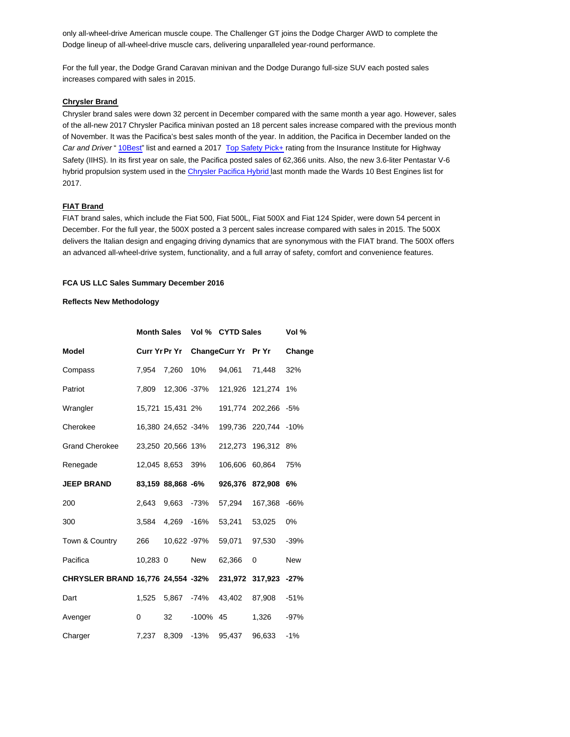only all-wheel-drive American muscle coupe. The Challenger GT joins the Dodge Charger AWD to complete the Dodge lineup of all-wheel-drive muscle cars, delivering unparalleled year-round performance.

For the full year, the Dodge Grand Caravan minivan and the Dodge Durango full-size SUV each posted sales increases compared with sales in 2015.

### **Chrysler Brand**

Chrysler brand sales were down 32 percent in December compared with the same month a year ago. However, sales of the all-new 2017 Chrysler Pacifica minivan posted an 18 percent sales increase compared with the previous month of November. It was the Pacifica's best sales month of the year. In addition, the Pacifica in December landed on the Car and Driver " 10Best" list and earned a 2017 Top Safety Pick+ rating from the Insurance Institute for Highway Safety (IIHS). In its first year on sale, the Pacifica posted sales of 62,366 units. Also, the new 3.6-liter Pentastar V-6 hybrid propulsion system used in the Chrysler Pacifica Hybrid last month made the Wards 10 Best Engines list for 2017.

### **FIAT Brand**

FIAT brand sales, which include the Fiat 500, Fiat 500L, Fiat 500X and Fiat 124 Spider, were down 54 percent in December. For the full year, the 500X posted a 3 percent sales increase compared with sales in 2015. The 500X delivers the Italian design and engaging driving dynamics that are synonymous with the FIAT brand. The 500X offers an advanced all-wheel-drive system, functionality, and a full array of safety, comfort and convenience features.

## **FCA US LLC Sales Summary December 2016**

#### **Reflects New Methodology**

|                                                        | Month Sales Vol % CYTD Sales |                    |             |                     |                      | Vol %      |
|--------------------------------------------------------|------------------------------|--------------------|-------------|---------------------|----------------------|------------|
| Model                                                  |                              | Curr Yr Pr Yr      |             | ChangeCurr Yr Pr Yr |                      | Change     |
| Compass                                                | 7.954                        | 7,260              | 10%         | 94,061              | 71,448               | 32%        |
| Patriot                                                | 7,809                        |                    | 12,306 -37% |                     | 121,926 121,274 1%   |            |
| Wrangler                                               |                              | 15,721 15,431 2%   |             |                     | 191,774 202,266 -5%  |            |
| Cherokee                                               |                              | 16,380 24,652 -34% |             |                     | 199,736 220,744 -10% |            |
| <b>Grand Cherokee</b>                                  |                              | 23,250 20,566 13%  |             |                     | 212,273 196,312 8%   |            |
| Renegade                                               |                              | 12,045 8,653 39%   |             |                     | 106,606 60,864       | 75%        |
| <b>JEEP BRAND</b>                                      |                              | 83,159 88,868 -6%  |             |                     | 926,376 872,908 6%   |            |
| 200                                                    | 2.643                        | 9,663              | -73%        | 57,294              | 167,368 -66%         |            |
| 300                                                    | 3,584                        | 4,269 -16%         |             | 53,241              | 53,025               | $0\%$      |
| Town & Country                                         | 266                          | 10,622 -97%        |             | 59,071              | 97,530               | $-39%$     |
| Pacifica                                               | 10,283 0                     |                    | New         | 62,366              | 0                    | <b>New</b> |
| CHRYSLER BRAND 16,776 24,554 -32% 231,972 317,923 -27% |                              |                    |             |                     |                      |            |
| Dart                                                   | 1,525                        | 5,867              | -74%        | 43,402              | 87,908               | $-51%$     |
| Avenger                                                | $\mathbf{0}$                 | 32                 | -100%       | 45                  | 1,326                | $-97%$     |
| Charger                                                | 7,237                        | 8,309              | -13%        | 95,437              | 96,633               | $-1%$      |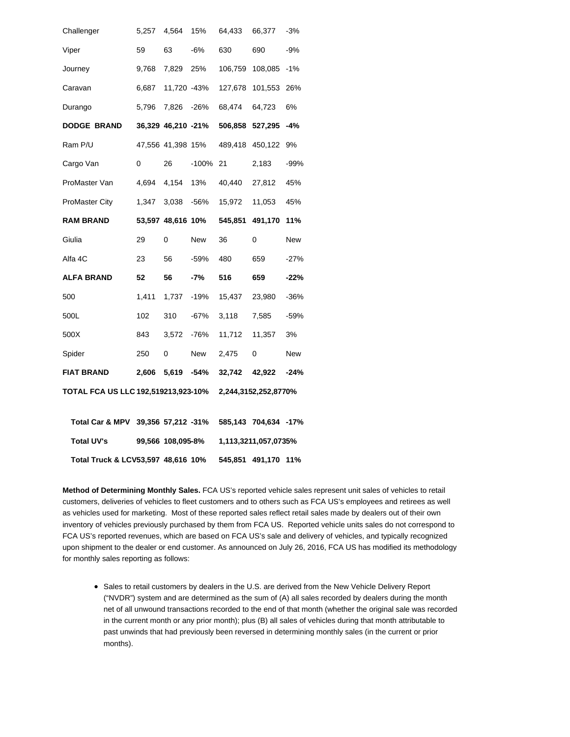| <b>Total UV's</b>                   | 99,566 108,095-8%    |                    |         | 1,113,3211,057,0735% |                      |        |
|-------------------------------------|----------------------|--------------------|---------|----------------------|----------------------|--------|
| Total Car & MPV 39,356 57,212 -31%  |                      |                    |         |                      | 585,143 704,634 -17% |        |
| TOTAL FCA US LLC 192,519213,923-10% | 2,244,3152,252,8770% |                    |         |                      |                      |        |
| <b>FIAT BRAND</b>                   | 2,606                | 5,619              | -54%    | 32,742               | 42,922               | $-24%$ |
| Spider                              | 250                  | 0                  | New     | 2,475                | 0                    | New    |
| 500X                                | 843                  | 3,572              | -76%    | 11,712               | 11,357               | 3%     |
| 500L                                | 102                  | 310                | $-67%$  | 3,118                | 7,585                | $-59%$ |
| 500                                 | 1,411                | 1,737              | -19%    | 15,437               | 23,980               | $-36%$ |
| <b>ALFA BRAND</b>                   | 52                   | 56                 | -7%     | 516                  | 659                  | $-22%$ |
| Alfa 4C                             | 23                   | 56                 | -59%    | 480                  | 659                  | $-27%$ |
| Giulia                              | 29                   | 0                  | New     | 36                   | 0                    | New    |
| <b>RAM BRAND</b>                    |                      | 53,597 48,616 10%  |         | 545,851              | 491,170              | 11%    |
| <b>ProMaster City</b>               | 1,347                | 3,038              | -56%    | 15,972               | 11,053               | 45%    |
| ProMaster Van                       | 4,694                | 4,154              | 13%     | 40,440               | 27,812               | 45%    |
| Cargo Van                           | 0                    | 26                 | $-100%$ | 21                   | 2,183                | $-99%$ |
| Ram P/U                             |                      | 47,556 41,398 15%  |         | 489,418              | 450,122              | 9%     |
| <b>DODGE BRAND</b>                  |                      | 36,329 46,210 -21% |         | 506,858              | 527,295              | -4%    |
| Durango                             | 5,796                | 7,826              | -26%    | 68,474               | 64,723               | 6%     |
| Caravan                             | 6,687                | 11,720 -43%        |         | 127,678              | 101,553              | 26%    |
| Journey                             | 9,768                | 7,829              | 25%     | 106,759              | 108,085              | $-1%$  |
| Viper                               | 59                   | 63                 | -6%     | 630                  | 690                  | $-9%$  |
| Challenger                          | 5,257                | 4,564              | 15%     | 64,433               | 66,377               | $-3%$  |

 **Total Truck & LCV53,597 48,616 10% 545,851 491,170 11%**

**Method of Determining Monthly Sales.** FCA US's reported vehicle sales represent unit sales of vehicles to retail customers, deliveries of vehicles to fleet customers and to others such as FCA US's employees and retirees as well as vehicles used for marketing. Most of these reported sales reflect retail sales made by dealers out of their own inventory of vehicles previously purchased by them from FCA US. Reported vehicle units sales do not correspond to FCA US's reported revenues, which are based on FCA US's sale and delivery of vehicles, and typically recognized upon shipment to the dealer or end customer. As announced on July 26, 2016, FCA US has modified its methodology for monthly sales reporting as follows:

• Sales to retail customers by dealers in the U.S. are derived from the New Vehicle Delivery Report ("NVDR") system and are determined as the sum of (A) all sales recorded by dealers during the month net of all unwound transactions recorded to the end of that month (whether the original sale was recorded in the current month or any prior month); plus (B) all sales of vehicles during that month attributable to past unwinds that had previously been reversed in determining monthly sales (in the current or prior months).